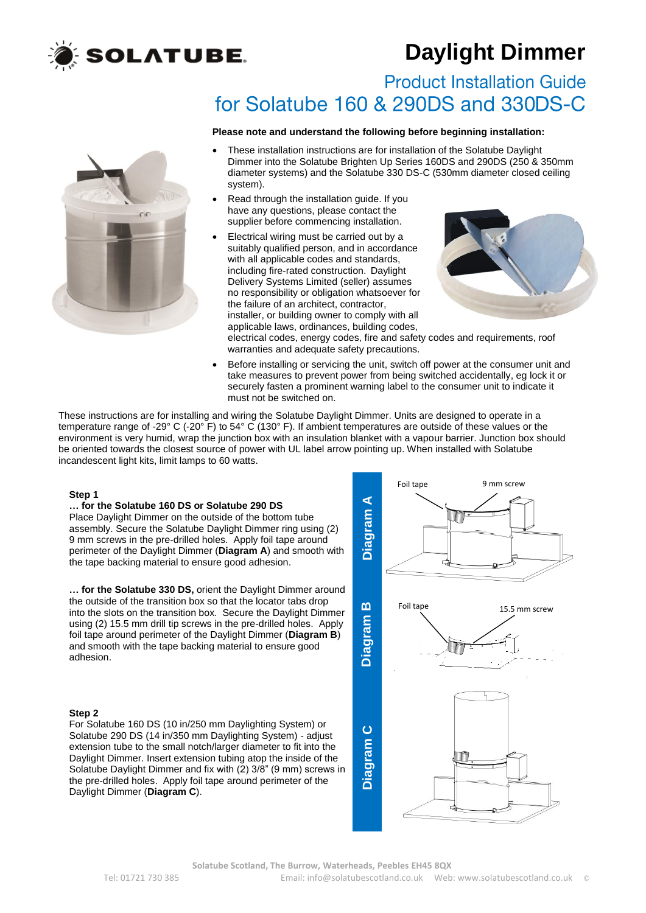

# **Daylight Dimmer**

**Product Installation Guide** for Solatube 160 & 290DS and 330DS-C

### **Please note and understand the following before beginning installation:**



- These installation instructions are for installation of the Solatube Daylight Dimmer into the Solatube Brighten Up Series 160DS and 290DS (250 & 350mm diameter systems) and the Solatube 330 DS-C (530mm diameter closed ceiling system).
- Read through the installation guide. If you have any questions, please contact the supplier before commencing installation.
- Electrical wiring must be carried out by a suitably qualified person, and in accordance with all applicable codes and standards. including fire-rated construction. Daylight Delivery Systems Limited (seller) assumes no responsibility or obligation whatsoever for the failure of an architect, contractor, installer, or building owner to comply with all applicable laws, ordinances, building codes,



electrical codes, energy codes, fire and safety codes and requirements, roof warranties and adequate safety precautions.

 Before installing or servicing the unit, switch off power at the consumer unit and take measures to prevent power from being switched accidentally, eg lock it or securely fasten a prominent warning label to the consumer unit to indicate it must not be switched on.

These instructions are for installing and wiring the Solatube Daylight Dimmer. Units are designed to operate in a temperature range of -29° C (-20° F) to 54° C (130° F). If ambient temperatures are outside of these values or the environment is very humid, wrap the junction box with an insulation blanket with a vapour barrier. Junction box should be oriented towards the closest source of power with UL label arrow pointing up. When installed with Solatube incandescent light kits, limit lamps to 60 watts.

# **Step 1**

# **… for the Solatube 160 DS or Solatube 290 DS**

Place Daylight Dimmer on the outside of the bottom tube assembly. Secure the Solatube Daylight Dimmer ring using (2) 9 mm screws in the pre-drilled holes. Apply foil tape around perimeter of the Daylight Dimmer (**Diagram A**) and smooth with ... for the **Solatube 160 DS or Solatube 290 DS**<br>Place Daylight Dimmer on the outside of the bottom tube<br>assembly. Secure the Solatube Daylight Dimmer ring using (2)<br>9 mm screws in the pre-drilled holes. Apply foil tape ar

**… for the Solatube 330 DS,** orient the Daylight Dimmer around the outside of the transition box so that the locator tabs drop into the slots on the transition box. Secure the Daylight Dimmer using (2) 15.5 mm drill tip screws in the pre-drilled holes. Apply foil tape around perimeter of the Daylight Dimmer (**Diagram B**) and smooth with the tape backing material to ensure good Into the slots on the transition box. Secure the Daylight Dimmer<br>using (2) 15.5 mm drill tip screws in the pre-drilled holes. Apply<br>foil tape around perimeter of the Daylight Dimmer (**Diagram B**)<br>and smooth with the tape b

# **Step 2**

For Solatube 160 DS (10 in/250 mm Daylighting System) or Solatube 290 DS (14 in/350 mm Daylighting System) - adjust Solatube 290 DS (14 In/350 mm Daylighting System) - adjust<br>extension tube to the small notch/larger diameter to fit into the<br>Daylight Dimmer. Insert extension tubing atop the inside of the<br>Solatube Daylight Dimmer and fix Daylight Dimmer. Insert extension tubing atop the inside of the Solatube Daylight Dimmer and fix with (2) 3/8" (9 mm) screws in the pre-drilled holes. Apply foil tape around perimeter of the